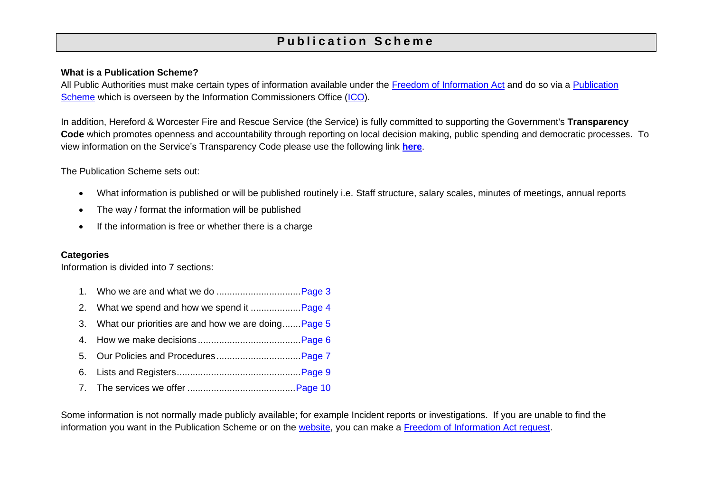# **P u b l i c a t i o n S c h e m e**

#### **What is a Publication Scheme?**

All Public Authorities must make certain types of information available under the [Freedom of Information Act](http://www.legislation.gov.uk/ukpga/2000/36/contents) and do so via a [Publication](https://ico.org.uk/for-organisations/guide-to-freedom-of-information/publication-scheme/)  [Scheme](https://ico.org.uk/for-organisations/guide-to-freedom-of-information/publication-scheme/) which is overseen by the Information Commissioners Office [\(ICO\)](https://ico.org.uk/).

In addition, Hereford & Worcester Fire and Rescue Service (the Service) is fully committed to supporting the Government's **Transparency Code** which promotes openness and accountability through reporting on local decision making, public spending and democratic processes. To view information on the Service's Transparency Code please use the following link **[here](http://www.hwfire.org.uk/your-right-to-know/transparency/)**.

The Publication Scheme sets out:

- What information is published or will be published routinely i.e. Staff structure, salary scales, minutes of meetings, annual reports
- The way / format the information will be published
- If the information is free or whether there is a charge

#### **Categories**

Information is divided into 7 sections:

| 3. What our priorities are and how we are doing Page 5 |
|--------------------------------------------------------|
|                                                        |
|                                                        |
|                                                        |
|                                                        |

Some information is not normally made publicly available; for example Incident reports or investigations. If you are unable to find the information you want in the Publication Scheme or on the [website,](http://www.hwfire.org.uk/) you can make a [Freedom of Information Act request.](http://www.hwfire.org.uk/your-right-to-know/freedom-of-information/)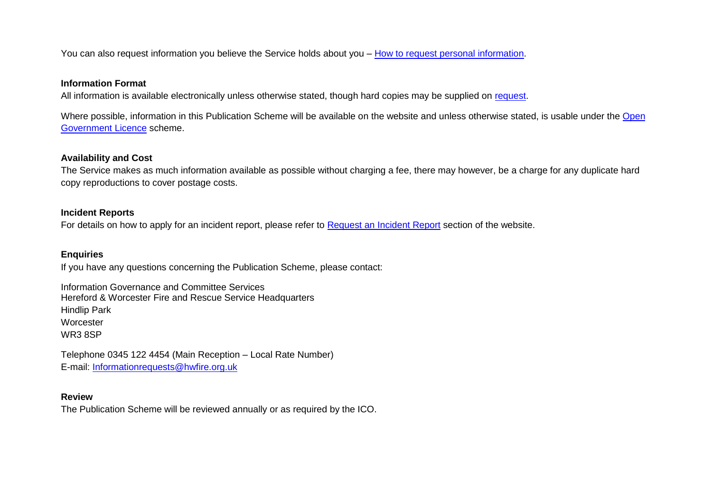You can also request information you believe the Service holds about you – [How to request personal information.](http://www.hwfire.org.uk/your-right-to-know/personal-information-request/)

#### **Information Format**

All information is available electronically unless otherwise stated, though hard copies may be supplied on [request.](mailto:IR@hwfire.org.uk)

Where possible, information in this Publication Scheme will be available on the website and unless otherwise stated, is usable under the [Open](http://www.nationalarchives.gov.uk/doc/open-government-licence/)  [Government Licence](http://www.nationalarchives.gov.uk/doc/open-government-licence/) scheme.

#### **Availability and Cost**

The Service makes as much information available as possible without charging a fee, there may however, be a charge for any duplicate hard copy reproductions to cover postage costs.

#### **Incident Reports**

For details on how to apply for an incident report, please refer to [Request an Incident Report](https://www.hwfire.org.uk/your-right-to-know/request-an-incident-report/) section of the website.

#### **Enquiries**

If you have any questions concerning the Publication Scheme, please contact:

Information Governance and Committee Services Hereford & Worcester Fire and Rescue Service Headquarters Hindlip Park **Worcester** WR3 8SP

Telephone 0345 122 4454 (Main Reception – Local Rate Number) E-mail: [Informationrequests@hwfire.org.uk](mailto:Informationrequests@hwfire.org.uk)

#### **Review**

The Publication Scheme will be reviewed annually or as required by the ICO.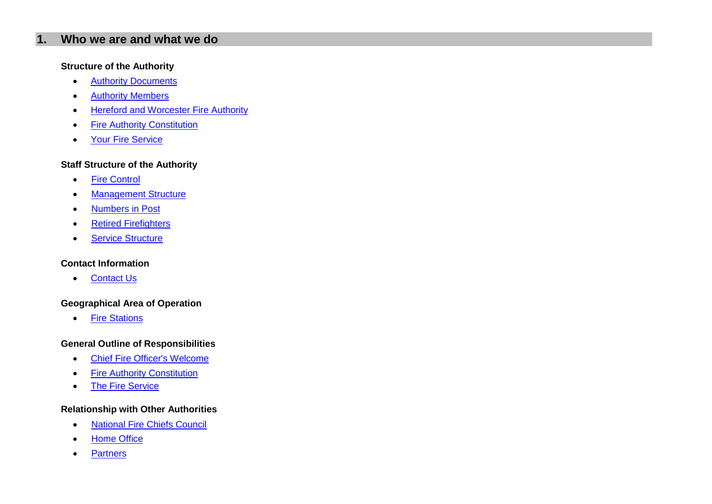## <span id="page-2-0"></span>**1. Who we are and what we do**

#### **Structure of the Authority**

- [Authority Documents](https://hwfire.cmis.uk.com/hwfire/Documents/DocumentLibrary.aspx)
- **•** [Authority Members](https://hwfire.cmis.uk.com/hwfire/AuthorityMembers.aspx)
- **•** [Hereford and Worcester Fire Authority](https://hwfire.cmis.uk.com/hwfire/Committees.aspx)
- [Fire Authority Constitution](https://hwfire.cmis.uk.com/hwfire/Constitution.aspx)
- [Your Fire Service](http://www.hwfire.org.uk/your_fire_service/your_fire_service.html)

#### **Staff Structure of the Authority**

- [Fire Control](https://www.hwfire.org.uk/about-us/the-fire-service/fire-control/)
- [Management Structure](http://www.hwfire.org.uk/about-us/the-fire-service/service-structure/)
- [Numbers in Post](http://www.hwfire.org.uk/assets/files/pay-policy-statement-2015-16.pdf)
- [Retired Firefighters](http://www.hwfire.org.uk/your_fire_service/narf.html)
- [Service Structure](https://www.hwfire.org.uk/about-us/the-fire-service/service-structure/)

## **Contact Information**

• [Contact Us](https://www.hwfire.org.uk/contact/)

#### **Geographical Area of Operation**

• [Fire Stations](https://www.hwfire.org.uk/about-us/the-fire-service/fire-stations/)

#### **General Outline of Responsibilities**

- [Chief Fire Officer's Welcome](http://www.hwfire.org.uk/about-us/the-fire-service/cfo-welcome/)
- **•** [Fire Authority Constitution](https://hwfire.cmis.uk.com/hwfire/Constitution.aspx)
- [The Fire Service](http://www.hwfire.org.uk/about-us/the-fire-service/)

## **Relationship with Other Authorities**

- [National Fire Chiefs Council](http://www.cfoa.org.uk/11937)
- [Home Office](https://www.gov.uk/government/organisations/home-office)
- [Partners](https://www.hwfire.org.uk/about-us/the-fire-service/partners/)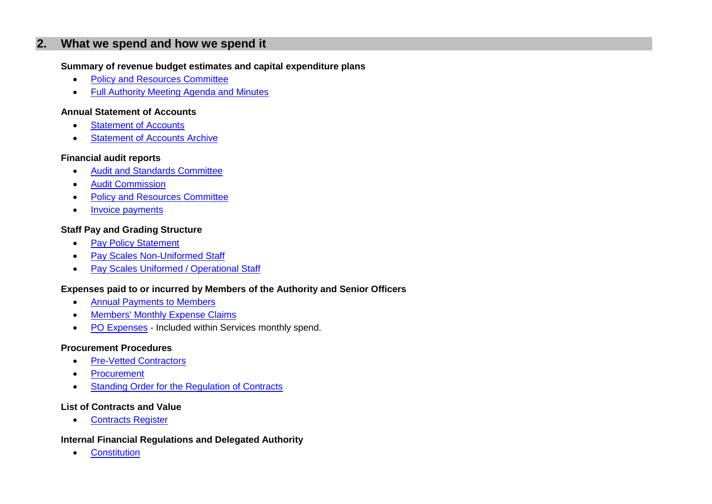## <span id="page-3-0"></span>**2. What we spend and how we spend it**

## **Summary of revenue budget estimates and capital expenditure plans**

- [Policy and Resources Committee](https://hwfire.cmis.uk.com/hwfire/Committees/tabid/62/ctl/ViewCMIS_CommitteeDetails/mid/381/id/3/Default.aspx)
- **•** [Full Authority Meeting Agenda and Minutes](https://hwfire.cmis.uk.com/hwfire/Committees/tabid/62/ctl/ViewCMIS_CommitteeDetails/mid/381/id/2/Default.aspx)

## **Annual Statement of Accounts**

- [Statement of Accounts](https://www.hwfire.org.uk/your-right-to-know/finance/accounts/)
- [Statement of Accounts Archive](https://www.hwfire.org.uk/archive/finance-archive/)

## **Financial audit reports**

- [Audit and Standards Committee](https://hwfire.cmis.uk.com/hwfire/Committees/tabid/62/ctl/ViewCMIS_CommitteeDetails/mid/381/id/4/Default.aspx)
- **•** [Audit Commission](http://www.audit-commission.gov.uk/)
- [Policy and Resources Committee](https://hwfire.cmis.uk.com/hwfire/Committees/tabid/62/ctl/ViewCMIS_CommitteeDetails/mid/381/id/3/Default.aspx)
- [Invoice payments](http://www.hwfire.org.uk/your-right-to-know/transparency/invoice-payments/)

## **Staff Pay and Grading Structure**

- [Pay Policy Statement](http://www.hwfire.org.uk/assets/files/pay-policy-appendices-2018-19-final.pdf)
- [Pay Scales Non-Uniformed Staff](http://www.hwfire.org.uk/assets/files/non-uniformed-pay-scales-16-to-17.pdf)
- [Pay Scales Uniformed / Operational Staff](http://www.hwfire.org.uk/assets/files/njc-14-pay-settlement-2017-final.pdf)

## **Expenses paid to or incurred by Members of the Authority and Senior Officers**

- [Annual Payments to Members](https://hwfire.cmis.uk.com/hwfire/Documents/DocumentLibrary.aspx)
- [Members' Monthly Expense Claims](https://hwfire.cmis.uk.com/hwfire/Documents/DocumentLibrary.aspx)
- [PO Expenses](http://www.hwfire.org.uk/your-right-to-know/transparency/invoice-payments/) Included within Services monthly spend.

#### **Procurement Procedures**

- [Pre-Vetted Contractors](http://www.constructionline.co.uk/static/)
- [Procurement](https://www.hwfire.org.uk/your-right-to-know/procurement/)
- **•** [Standing Order for the Regulation of Contracts](https://hwfire.cmis.uk.com/hwfire/Document.ashx?czJKcaeAi5tUFL1DTL2UE4zNRBcoShgo=hARUuw7uhyU4l7aDuUgER6M5ZJC3XU5yTevBa8gDPx2Bc1NZtiYtow%3d%3d&rUzwRPf%2bZ3zd4E7Ikn8Lyw%3d%3d=pwRE6AGJFLDNlh225F5QMaQWCtPHwdhUfCZ%2fLUQzgA2uL5jNRG4jdQ%3d%3d&mCTIbCubSFfXsDGW9IXnlg%3d%3d=hFflUdN3100%3d&kCx1AnS9%2fpWZQ40DXFvdEw%3d%3d=hFflUdN3100%3d&uJovDxwdjMPoYv%2bAJvYtyA%3d%3d=ctNJFf55vVA%3d&FgPlIEJYlotS%2bYGoBi5olA%3d%3d=NHdURQburHA%3d&d9Qjj0ag1Pd993jsyOJqFvmyB7X0CSQK=ctNJFf55vVA%3d&WGewmoAfeNR9xqBux0r1Q8Za60lavYmz=ctNJFf55vVA%3d&WGewmoAfeNQ16B2MHuCpMRKZMwaG1PaO=ctNJFf55vVA%3d)

## **List of Contracts and Value**

• [Contracts Register](http://www.hwfire.org.uk/your-right-to-know/procurement/)

## **Internal Financial Regulations and Delegated Authority**

**•** [Constitution](https://hwfire.cmis.uk.com/hwfire/Constitution.aspx)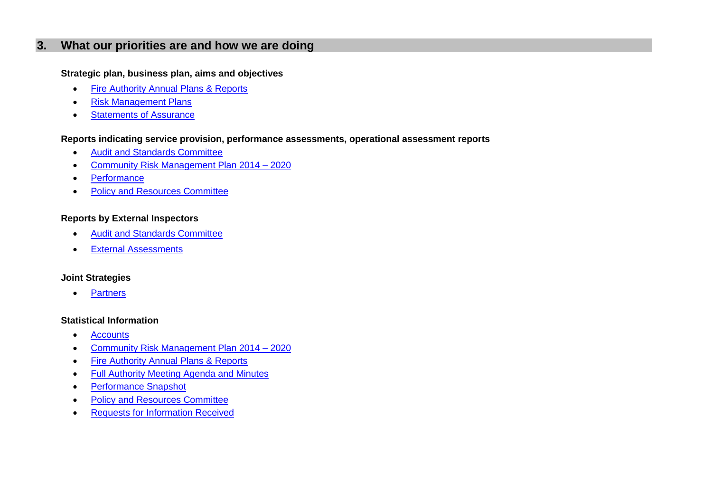## <span id="page-4-0"></span>**3. What our priorities are and how we are doing**

#### **Strategic plan, business plan, aims and objectives**

- [Fire Authority Annual Plans & Reports](https://www.hwfire.org.uk/your-right-to-know/our-publications/)
- [Risk Management Plans](https://www.hwfire.org.uk/your-right-to-know/our-publications/)
- [Statements of Assurance](https://www.hwfire.org.uk/your-right-to-know/our-publications/)

#### **Reports indicating service provision, performance assessments, operational assessment reports**

- [Audit and Standards Committee](https://hwfire.cmis.uk.com/hwfire/Committees/tabid/62/ctl/ViewCMIS_CommitteeDetails/mid/381/id/4/Default.aspx)
- [Community Risk Management Plan 2014 –](https://www.hwfire.org.uk/assets/files/crmp2014-2020.pdf) 2020
- [Performance](https://www.hwfire.org.uk/your-right-to-know/our-performance/)
- [Policy and Resources Committee](https://hwfire.cmis.uk.com/hwfire/Committees/tabid/62/ctl/ViewCMIS_CommitteeDetails/mid/381/id/3/Default.aspx)

## **Reports by External Inspectors**

- [Audit and Standards Committee](https://hwfire.cmis.uk.com/hwfire/hwfire/Committees/tabid/62/ctl/ViewCMIS_CommitteeDetails/mid/381/id/4/Default.aspx)
- **•** [External Assessments](https://www.hwfire.org.uk/your-right-to-know/our-performance/)

## **Joint Strategies**

• [Partners](https://www.hwfire.org.uk/about-us/the-fire-service/partners/)

#### **Statistical Information**

- [Accounts](https://www.hwfire.org.uk/your-right-to-know/finance/accounts/)
- [Community Risk Management Plan 2014 –](https://www.hwfire.org.uk/assets/files/crmp2014-2020.pdf) 2020
- [Fire Authority Annual Plans & Reports](https://www.hwfire.org.uk/your-right-to-know/our-publications/)
- [Full Authority Meeting Agenda and Minutes](https://hwfire.cmis.uk.com/hwfire/Committees/tabid/62/ctl/ViewCMIS_CommitteeDetails/mid/381/id/2/Default.aspx)
- [Performance Snapshot](http://www.hwfire.org.uk/your-right-to-know/performance-snapshot/)
- [Policy and Resources Committee](https://hwfire.cmis.uk.com/hwfire/Committees/tabid/62/ctl/ViewCMIS_CommitteeDetails/mid/381/id/3/Default.aspx)
- [Requests for Information Received](http://www.hwfire.org.uk/your-right-to-know/foi-responses/)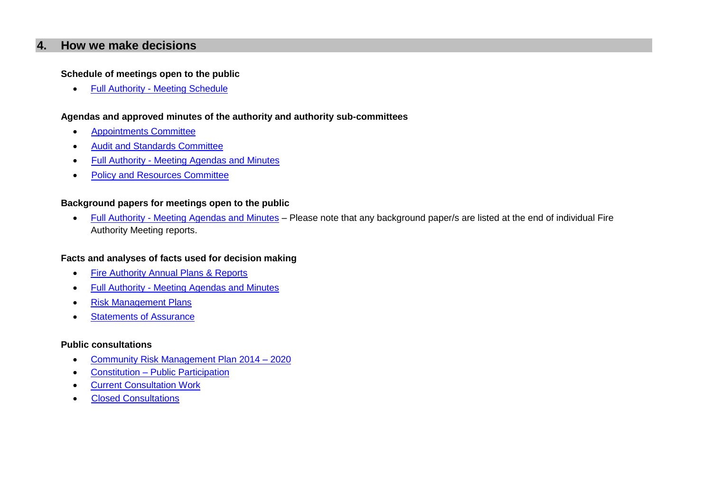## <span id="page-5-0"></span>**4. How we make decisions**

#### **Schedule of meetings open to the public**

Full Authority - [Meeting Schedule](https://hwfire.cmis.uk.com/hwfire/hwfire/Committees/tabid/62/ctl/ViewCMIS_CommitteeDetails/mid/381/id/2/Default.aspx)

#### **Agendas and approved minutes of the authority and authority sub-committees**

- [Appointments Committee](https://hwfire.cmis.uk.com/hwfire/hwfire/Committees/tabid/62/ctl/ViewCMIS_CommitteeDetails/mid/381/id/1/Default.aspx)
- [Audit and Standards Committee](https://hwfire.cmis.uk.com/hwfire/hwfire/Committees/tabid/62/ctl/ViewCMIS_CommitteeDetails/mid/381/id/4/Default.aspx)
- Full Authority Meeting [Agendas and Minutes](https://hwfire.cmis.uk.com/hwfire/hwfire/Committees/tabid/62/ctl/ViewCMIS_CommitteeDetails/mid/381/id/2/Default.aspx)
- [Policy and Resources Committee](https://hwfire.cmis.uk.com/hwfire/hwfire/Committees/tabid/62/ctl/ViewCMIS_CommitteeDetails/mid/381/id/3/Default.aspx)

#### **Background papers for meetings open to the public**

 Full Authority - [Meeting Agendas and Minutes](https://hwfire.cmis.uk.com/hwfire/hwfire/Committees/tabid/62/ctl/ViewCMIS_CommitteeDetails/mid/381/id/2/Default.aspx) – Please note that any background paper/s are listed at the end of individual Fire Authority Meeting reports.

#### **Facts and analyses of facts used for decision making**

- [Fire Authority Annual Plans & Reports](https://www.hwfire.org.uk/your-right-to-know/our-publications/)
- Full Authority [Meeting Agendas and Minutes](https://hwfire.cmis.uk.com/hwfire/hwfire/Committees/tabid/62/ctl/ViewCMIS_CommitteeDetails/mid/381/id/2/Default.aspx)
- [Risk Management Plans](https://www.hwfire.org.uk/your-right-to-know/our-publications/)
- **[Statements of Assurance](https://www.hwfire.org.uk/your-right-to-know/our-publications/)**

## **Public consultations**

- [Community Risk Management Plan 2014 –](https://www.hwfire.org.uk/assets/files/crmp2014-2020.pdf) 2020
- Constitution [Public Participation](https://hwfire.cmis.uk.com/hwfire/Documents/DocumentLibrary.aspx)
- **[Current Consultation Work](http://www.hwfire.org.uk/your-right-to-know/consultation/)**
- **•** [Closed Consultations](http://www.hwfire.org.uk/your-right-to-know/previous-consultations/)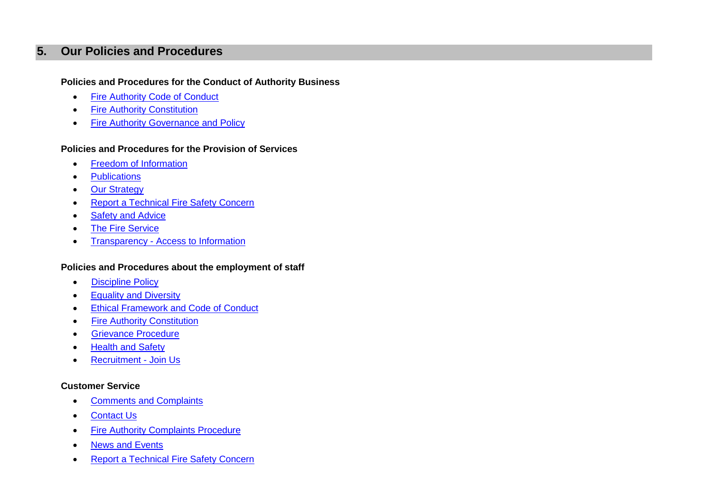## <span id="page-6-0"></span>**5. Our Policies and Procedures**

## **Policies and Procedures for the Conduct of Authority Business**

- Fire Authority Code of Conduct
- **•** [Fire Authority Constitution](https://hwfire.cmis.uk.com/hwfire/Constitution.aspx)
- [Fire Authority Governance and Policy](https://hwfire.cmis.uk.com/hwfire/Documents/DocumentLibrary.aspx)

## **Policies and Procedures for the Provision of Services**

- **•** [Freedom of Information](https://www.hwfire.org.uk/your-right-to-know/freedom-of-information/)
- [Publications](http://www.hwfire.org.uk/your-right-to-know/our-publications/)
- Our [Strategy](https://www.hwfire.org.uk/assets/files/hwfrs-our-strategy-1080.jpg)
- Report a Technical Fire Safety Concern
- [Safety and Advice](https://www.hwfire.org.uk/safety-and-advice/)
- [The Fire Service](https://www.hwfire.org.uk/about-us/the-fire-service/)
- Transparency [Access to Information](https://www.hwfire.org.uk/your-right-to-know/transparency/)

## **Policies and Procedures about the employment of staff**

- [Discipline Policy](http://www.hwfire.org.uk/assets/files/disciplinary-policy-v5.00.pdf)
- **•** [Equality and Diversity](https://www.hwfire.org.uk/your-right-to-know/equality-and-diversity/)
- [Ethical Framework and Code of Conduct](https://www.hwfire.org.uk/assets/files/ethical-framework-booklet.pdf)
- **•** [Fire Authority Constitution](https://hwfire.cmis.uk.com/hwfire/Constitution.aspx)
- **•** [Grievance Procedure](http://www.hwfire.org.uk/assets/files/grievance-procedure-for-uniformed-and-support-staff-v2.00.pdf)
- [Health and Safety](https://www.hwfire.org.uk/your-right-to-know/health-and-safety/)
- [Recruitment -](https://www.hwfire.org.uk/join-us/index/) Join Us

## **Customer Service**

- [Comments and Complaints](https://www.hwfire.org.uk/your-right-to-know/comments-and-complaints/)
- [Contact Us](https://www.hwfire.org.uk/contact/)
- [Fire Authority Complaints Procedure](http://www.hwfire.org.uk/your-right-to-know/comments-and-complaints/authority-complaints-procedure/)
- [News and Events](https://www.hwfire.org.uk/news/)
- [Report a Technical Fire Safety Concern](https://www.hwfire.org.uk/your-right-to-know/comments-and-complaints/report-a-technical-fire-safety-concern/)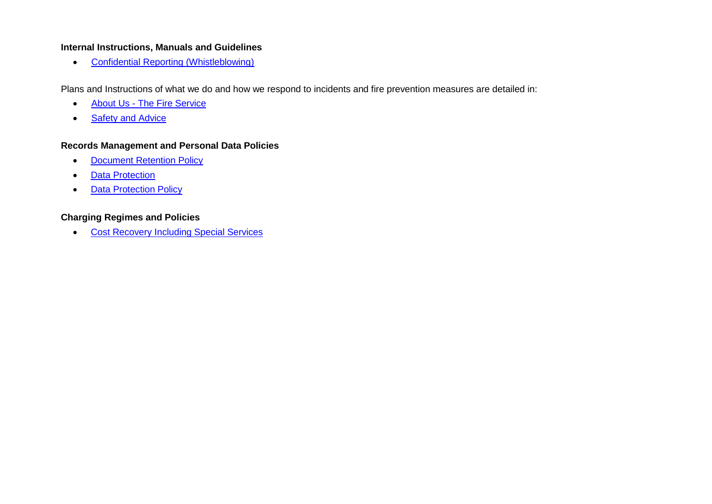## **Internal Instructions, Manuals and Guidelines**

[Confidential Reporting \(Whistleblowing\)](http://www.hwfire.org.uk/assets/files/confidential-reporting-whistleblowing-web-version.pdf)

Plans and Instructions of what we do and how we respond to incidents and fire prevention measures are detailed in:

- About Us [The Fire Service](https://www.hwfire.org.uk/about-us/the-fire-service/)
- [Safety and Advice](https://www.hwfire.org.uk/safety-and-advice/)

## **Records Management and Personal Data Policies**

- [Document Retention Policy](https://www.hwfire.org.uk/assets/files/doc-retention-and-destruction-25-7-11.pdf)
- [Data Protection](https://www.hwfire.org.uk/your-right-to-know/data-protection/)
- [Data Protection Policy](http://www.hwfire.org.uk/assets/files/data-protection-policy-web-version.pdf)

## **Charging Regimes and Policies**

[Cost Recovery Including Special Services](https://www.hwfire.org.uk/assets/files/7-3-1-cost-recovery-including-special-services-v2-001.pdf)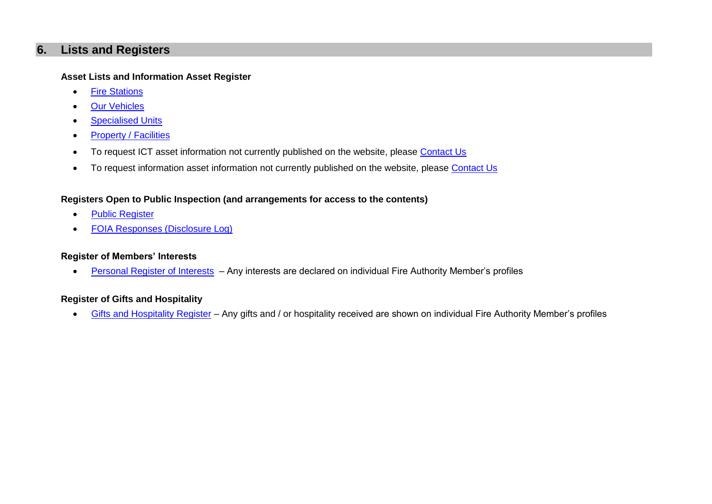## <span id="page-8-0"></span>**6. Lists and Registers**

#### **Asset Lists and Information Asset Register**

- [Fire Stations](http://www.hwfire.org.uk/about-us/the-fire-service/fire-stations/)
- [Our Vehicles](http://www.hwfire.org.uk/about-us/the-fire-service/our-vehicles/)
- **•** [Specialised Units](http://www.hwfire.org.uk/about-us/the-fire-service/specialised-units/)
- [Property / Facilities](http://www.hwfire.org.uk/your-right-to-know/facilities/)
- To request ICT asset information not currently published on the website, please [Contact Us](mailto:Informationrequests@hwfire.org.uk)
- To request information asset information not currently published on the website, please [Contact Us](mailto:Informationrequests@hwfire.org.uk)

## **Registers Open to Public Inspection (and arrangements for access to the contents)**

- [Public Register](http://www.hwfire.org.uk/safety-and-advice/business-safety/technical-fire-safety-public-register/)
- [FOIA Responses \(Disclosure Log\)](https://www.hwfire.org.uk/your-right-to-know/foi-responses/)

## **Register of Members' Interests**

• [Personal Register of Interests](https://hwfire.cmis.uk.com/hwfire/AuthorityMembers.aspx) – Any interests are declared on individual Fire Authority Member's profiles

## **Register of Gifts and Hospitality**

[Gifts and Hospitality Register](https://hwfire.cmis.uk.com/hwfire/AuthorityMembers.aspx) – Any gifts and / or hospitality received are shown on individual Fire Authority Member's profiles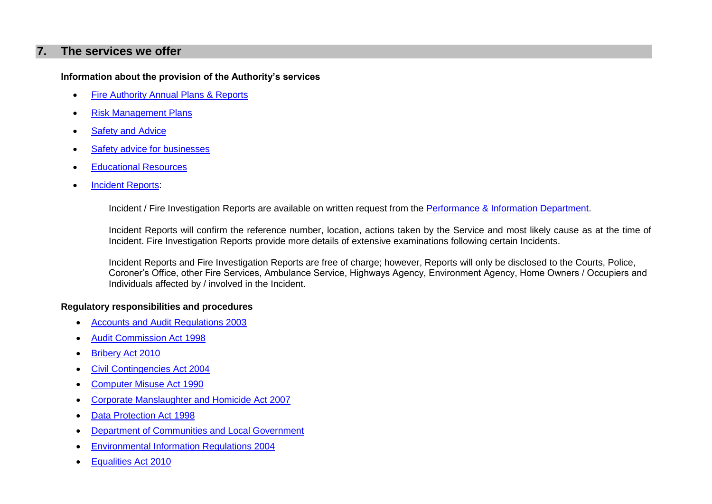## <span id="page-9-0"></span>**7. The services we offer**

## **Information about the provision of the Authority's services**

- [Fire Authority Annual Plans & Reports](https://www.hwfire.org.uk/your-right-to-know/our-publications/)
- [Risk Management Plans](https://www.hwfire.org.uk/your-right-to-know/our-publications/)
- [Safety and Advice](https://www.hwfire.org.uk/safety-and-advice/)
- [Safety advice for businesses](http://www.hwfire.org.uk/business_safety/safety_advice_for_businesses.html)
- [Educational Resources](https://www.hwfire.org.uk/safety-and-advice/educational-resources/)
- [Incident Reports:](https://www.hwfire.org.uk/your-right-to-know/request-an-incident-report/)

Incident / Fire Investigation Reports are available on written request from the [Performance & Information Department.](mailto:IR@hwfire.org.uk)

Incident Reports will confirm the reference number, location, actions taken by the Service and most likely cause as at the time of Incident. Fire Investigation Reports provide more details of extensive examinations following certain Incidents.

Incident Reports and Fire Investigation Reports are free of charge; however, Reports will only be disclosed to the Courts, Police, Coroner's Office, other Fire Services, Ambulance Service, Highways Agency, Environment Agency, Home Owners / Occupiers and Individuals affected by / involved in the Incident.

## **Regulatory responsibilities and procedures**

- [Accounts and Audit Regulations 2003](http://www.legislation.gov.uk/uksi/2003/533/contents/made)
- [Audit Commission Act 1998](http://www.legislation.gov.uk/ukpga/1998/18/contents)
- [Bribery Act 2010](http://www.legislation.gov.uk/ukpga/2010/23/contents)
- [Civil Contingencies Act 2004](http://www.legislation.gov.uk/ukpga/2004/36/contents)
- [Computer Misuse Act 1990](https://www.legislation.gov.uk/ukpga/1990/18/contents)
- [Corporate Manslaughter and Homicide Act 2007](http://www.legislation.gov.uk/ukpga/2007/19/contents)
- [Data Protection Act 1998](http://www.legislation.gov.uk/ukpga/1998/29/contents)
- [Department of Communities and Local Government](http://www.communities.gov.uk/)
- [Environmental Information Regulations 2004](http://www.legislation.gov.uk/uksi/2004/3391/regulation/18/made)
- [Equalities Act 2010](http://www.legislation.gov.uk/ukpga/2010/15/contents)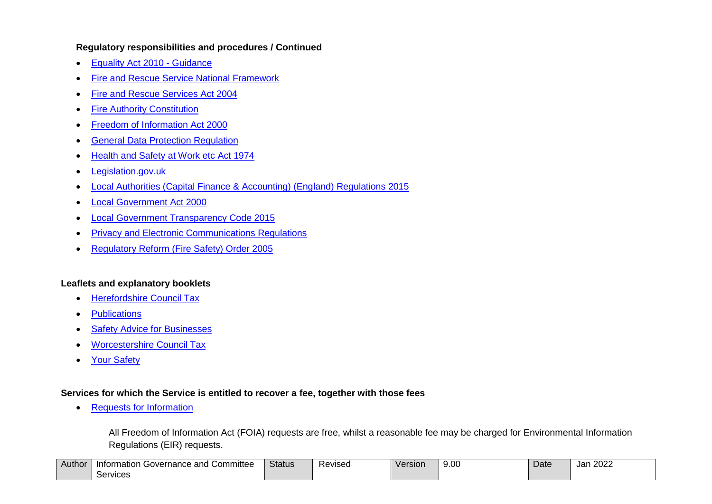#### **Regulatory responsibilities and procedures / Continued**

- **[Equality Act 2010 -](https://www.gov.uk/equality-act-2010-guidance) Guidance**
- [Fire and Rescue Service National Framework](https://www.gov.uk/government/uploads/system/uploads/attachment_data/file/5904/nationalframework.pdf)
- [Fire and Rescue Services Act 2004](http://www.legislation.gov.uk/ukpga/2004/21/contents)
- [Fire Authority Constitution](https://hwfire.cmis.uk.com/hwfire/Constitution.aspx)
- [Freedom of Information Act 2000](http://www.legislation.gov.uk/ukpga/2000/36/contents)
- [General Data Protection Regulation](http://eur-lex.europa.eu/legal-content/EN/TXT/PDF/?uri=CELEX:32016R0679&from=EN)
- [Health and Safety at Work etc Act 1974](http://www.hse.gov.uk/legislation/hswa.htm)
- [Legislation.gov.uk](http://www.legislation.gov.uk/)
- [Local Authorities \(Capital Finance & Accounting\) \(England\) Regulations 2015](http://www.legislation.gov.uk/uksi/2015/341/pdfs/uksi_20150341_en.pdf)
- [Local Government Act 2000](http://www.legislation.gov.uk/ukpga/2000/22/contents)
- [Local Government Transparency Code 2015](https://www.gov.uk/government/uploads/system/uploads/attachment_data/file/408386/150227_PUBLICATION_Final_LGTC_2015.pdf)
- **[Privacy and Electronic Communications Regulations](http://www.legislation.gov.uk/uksi/2003/2426/contents/made)**
- [Regulatory Reform \(Fire Safety\) Order 2005](http://www.legislation.gov.uk/uksi/2005/1541/contents/made)

## **Leaflets and explanatory booklets**

- [Herefordshire Council Tax](https://www.herefordshire.gov.uk/counciltax)
- [Publications](http://www.hwfire.org.uk/our_publications/publications.html)
- [Safety Advice for Businesses](http://www.hwfire.org.uk/business_safety/safety_advice_for_businesses.html)
- [Worcestershire Council Tax](https://www.worcester.gov.uk/documents/10499/219339/CouncilTaxLeaflet2018-2019.pdf/00248559-599f-f6c9-3388-d35798cb620c)
- [Your Safety](http://www.hwfire.org.uk/your_safety/your_safety.html)

## **Services for which the Service is entitled to recover a fee, together with those fees**

• [Requests for Information](https://www.hwfire.org.uk/your-right-to-know/freedom-of-information/)

All Freedom of Information Act (FOIA) requests are free, whilst a reasonable fee may be charged for Environmental Information Regulations (EIR) requests.

| Author | .<br>า Governance and i<br>Committee<br>Information | <b>Status</b> | Revised | Version | n o oc<br>ື ອ.ບບ | Date | 2022<br>Jar |
|--------|-----------------------------------------------------|---------------|---------|---------|------------------|------|-------------|
|        | -<br>Services                                       |               |         |         |                  |      |             |